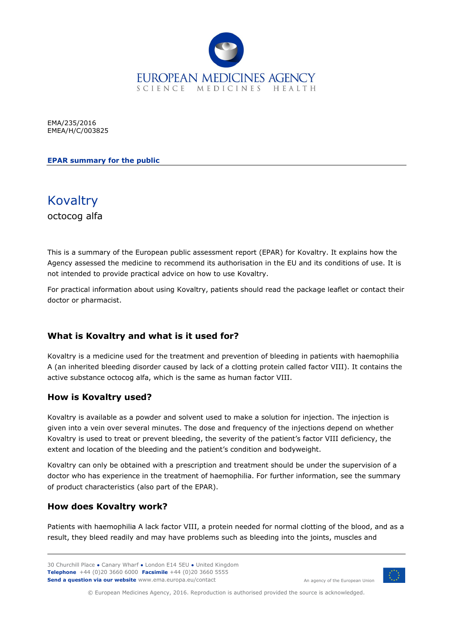

EMA/235/2016 EMEA/H/C/003825

**EPAR summary for the public**



This is a summary of the European public assessment report (EPAR) for Kovaltry. It explains how the Agency assessed the medicine to recommend its authorisation in the EU and its conditions of use. It is not intended to provide practical advice on how to use Kovaltry.

For practical information about using Kovaltry, patients should read the package leaflet or contact their doctor or pharmacist.

### **What is Kovaltry and what is it used for?**

Kovaltry is a medicine used for the treatment and prevention of bleeding in patients with haemophilia A (an inherited bleeding disorder caused by lack of a clotting protein called factor VIII). It contains the active substance octocog alfa, which is the same as human factor VIII.

#### **How is Kovaltry used?**

Kovaltry is available as a powder and solvent used to make a solution for injection. The injection is given into a vein over several minutes. The dose and frequency of the injections depend on whether Kovaltry is used to treat or prevent bleeding, the severity of the patient's factor VIII deficiency, the extent and location of the bleeding and the patient's condition and bodyweight.

Kovaltry can only be obtained with a prescription and treatment should be under the supervision of a doctor who has experience in the treatment of haemophilia. For further information, see the summary of product characteristics (also part of the EPAR).

### **How does Kovaltry work?**

Patients with haemophilia A lack factor VIII, a protein needed for normal clotting of the blood, and as a result, they bleed readily and may have problems such as bleeding into the joints, muscles and



An agency of the European Union

© European Medicines Agency, 2016. Reproduction is authorised provided the source is acknowledged.

<sup>30</sup> Churchill Place **●** Canary Wharf **●** London E14 5EU **●** United Kingdom **Telephone** +44 (0)20 3660 6000 **Facsimile** +44 (0)20 3660 5555 **Send a question via our website** www.ema.europa.eu/contact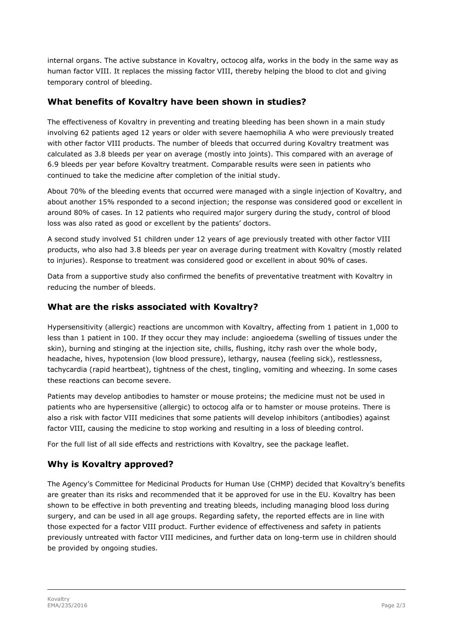internal organs. The active substance in Kovaltry, octocog alfa, works in the body in the same way as human factor VIII. It replaces the missing factor VIII, thereby helping the blood to clot and giving temporary control of bleeding.

### **What benefits of Kovaltry have been shown in studies?**

The effectiveness of Kovaltry in preventing and treating bleeding has been shown in a main study involving 62 patients aged 12 years or older with severe haemophilia A who were previously treated with other factor VIII products. The number of bleeds that occurred during Kovaltry treatment was calculated as 3.8 bleeds per year on average (mostly into joints). This compared with an average of 6.9 bleeds per year before Kovaltry treatment. Comparable results were seen in patients who continued to take the medicine after completion of the initial study.

About 70% of the bleeding events that occurred were managed with a single injection of Kovaltry, and about another 15% responded to a second injection; the response was considered good or excellent in around 80% of cases. In 12 patients who required major surgery during the study, control of blood loss was also rated as good or excellent by the patients' doctors.

A second study involved 51 children under 12 years of age previously treated with other factor VIII products, who also had 3.8 bleeds per year on average during treatment with Kovaltry (mostly related to injuries). Response to treatment was considered good or excellent in about 90% of cases.

Data from a supportive study also confirmed the benefits of preventative treatment with Kovaltry in reducing the number of bleeds.

### **What are the risks associated with Kovaltry?**

Hypersensitivity (allergic) reactions are uncommon with Kovaltry, affecting from 1 patient in 1,000 to less than 1 patient in 100. If they occur they may include: angioedema (swelling of tissues under the skin), burning and stinging at the injection site, chills, flushing, itchy rash over the whole body, headache, hives, hypotension (low blood pressure), lethargy, nausea (feeling sick), restlessness, tachycardia (rapid heartbeat), tightness of the chest, tingling, vomiting and wheezing. In some cases these reactions can become severe.

Patients may develop antibodies to hamster or mouse proteins; the medicine must not be used in patients who are hypersensitive (allergic) to octocog alfa or to hamster or mouse proteins. There is also a risk with factor VIII medicines that some patients will develop inhibitors (antibodies) against factor VIII, causing the medicine to stop working and resulting in a loss of bleeding control.

For the full list of all side effects and restrictions with Kovaltry, see the package leaflet.

# **Why is Kovaltry approved?**

The Agency's Committee for Medicinal Products for Human Use (CHMP) decided that Kovaltry's benefits are greater than its risks and recommended that it be approved for use in the EU. Kovaltry has been shown to be effective in both preventing and treating bleeds, including managing blood loss during surgery, and can be used in all age groups. Regarding safety, the reported effects are in line with those expected for a factor VIII product. Further evidence of effectiveness and safety in patients previously untreated with factor VIII medicines, and further data on long-term use in children should be provided by ongoing studies.